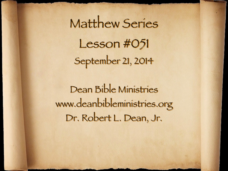Matthew Series Lesson #051 September 21, 2014

Dean Bible Ministries [www.deanbibleministries.org](http://www.deanbible.org) Dr. Robert L. Dean, Jr.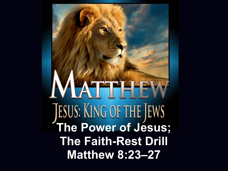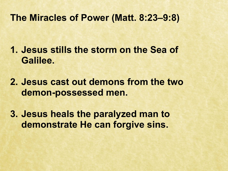### **The Miracles of Power (Matt. 8:23–9:8)**

**1. Jesus stills the storm on the Sea of Galilee.**

**2. Jesus cast out demons from the two demon-possessed men.**

**3. Jesus heals the paralyzed man to demonstrate He can forgive sins.**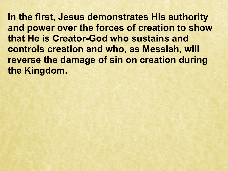**In the first, Jesus demonstrates His authority and power over the forces of creation to show that He is Creator-God who sustains and controls creation and who, as Messiah, will reverse the damage of sin on creation during the Kingdom.**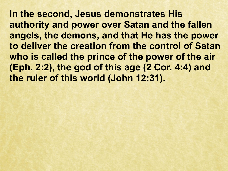**In the second, Jesus demonstrates His authority and power over Satan and the fallen angels, the demons, and that He has the power to deliver the creation from the control of Satan who is called the prince of the power of the air (Eph. 2:2), the god of this age (2 Cor. 4:4) and the ruler of this world (John 12:31).**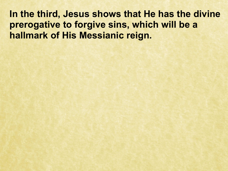**In the third, Jesus shows that He has the divine prerogative to forgive sins, which will be a hallmark of His Messianic reign.**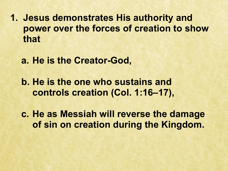**1. Jesus demonstrates His authority and power over the forces of creation to show that** 

**a. He is the Creator-God,**

**b. He is the one who sustains and controls creation (Col. 1:16–17),**

**c. He as Messiah will reverse the damage of sin on creation during the Kingdom.**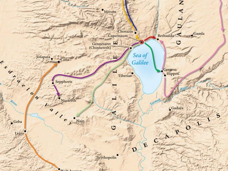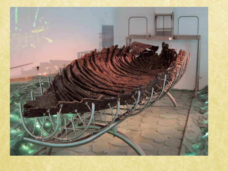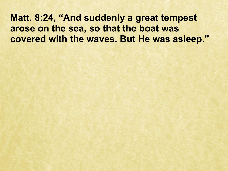## **Matt. 8:24, "And suddenly a great tempest arose on the sea, so that the boat was covered with the waves. But He was asleep."**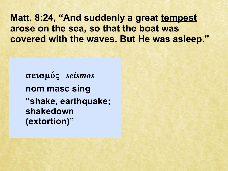**Matt. 8:24, "And suddenly a great tempest arose on the sea, so that the boat was covered with the waves. But He was asleep."**

**seismo/ß** *seismos* **nom masc sing "shake, earthquake; shakedown (extortion)"**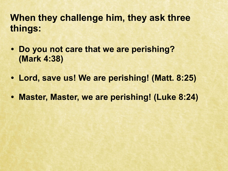# **When they challenge him, they ask three things:**

- **• Do you not care that we are perishing? (Mark 4:38)**
- **• Lord, save us! We are perishing! (Matt. 8:25)**
- **• Master, Master, we are perishing! (Luke 8:24)**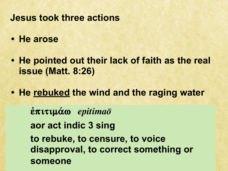#### **Jesus took three actions**

- **• He arose**
- **• He pointed out their lack of faith as the real issue (Matt. 8:26)**
- **• He rebuked the wind and the raging water**

 $\epsilon$ πιτιμάω epitimaō **aor act indic 3 sing to rebuke, to censure, to voice disapproval, to correct something or someone**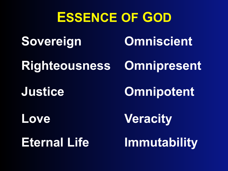# **Sovereign Righteousness Justice Love Eternal Life Omniscient Omnipresent Omnipotent Veracity Immutability ESSENCE OF GOD**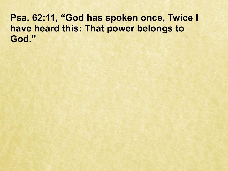# **Psa. 62:11, "God has spoken once, Twice I have heard this: That power belongs to God."**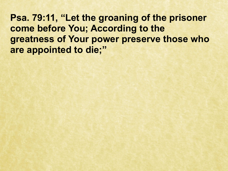**Psa. 79:11, "Let the groaning of the prisoner come before You; According to the greatness of Your power preserve those who are appointed to die;"**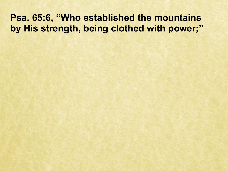## **Psa. 65:6, "Who established the mountains by His strength, being clothed with power;"**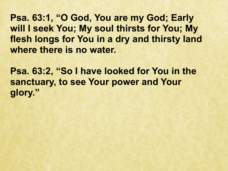**Psa. 63:1, "O God, You are my God; Early will I seek You; My soul thirsts for You; My flesh longs for You in a dry and thirsty land where there is no water.** 

**Psa. 63:2, "So I have looked for You in the sanctuary, to see Your power and Your glory."**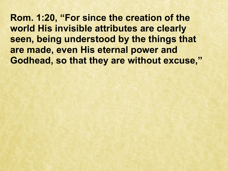**Rom. 1:20, "For since the creation of the world His invisible attributes are clearly seen, being understood by the things that are made, even His eternal power and Godhead, so that they are without excuse,"**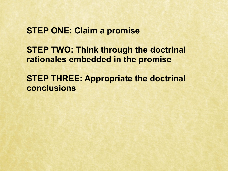#### **STEP ONE: Claim a promise**

#### **STEP TWO: Think through the doctrinal rationales embedded in the promise**

#### **STEP THREE: Appropriate the doctrinal conclusions**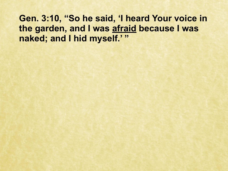## **Gen. 3:10, "So he said, 'I heard Your voice in the garden, and I was afraid because I was naked; and I hid myself.' "**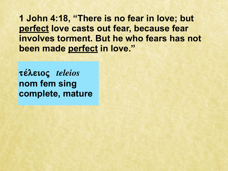1 John 4:18, "There is no fear in love; but perfect love casts out fear, because fear involves torment. But he who fears has not been made perfect in love."

**TÉLEIOS** teleios nom fem sing complete, mature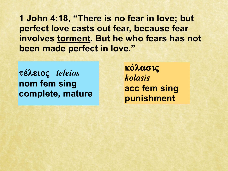1 John 4:18, "There is no fear in love; but perfect love casts out fear, because fear involves torment. But he who fears has not been made perfect in love."

**TÉLEIOS** teleios nom fem sing complete, mature κόλασις kolasis acc fem sing punishment